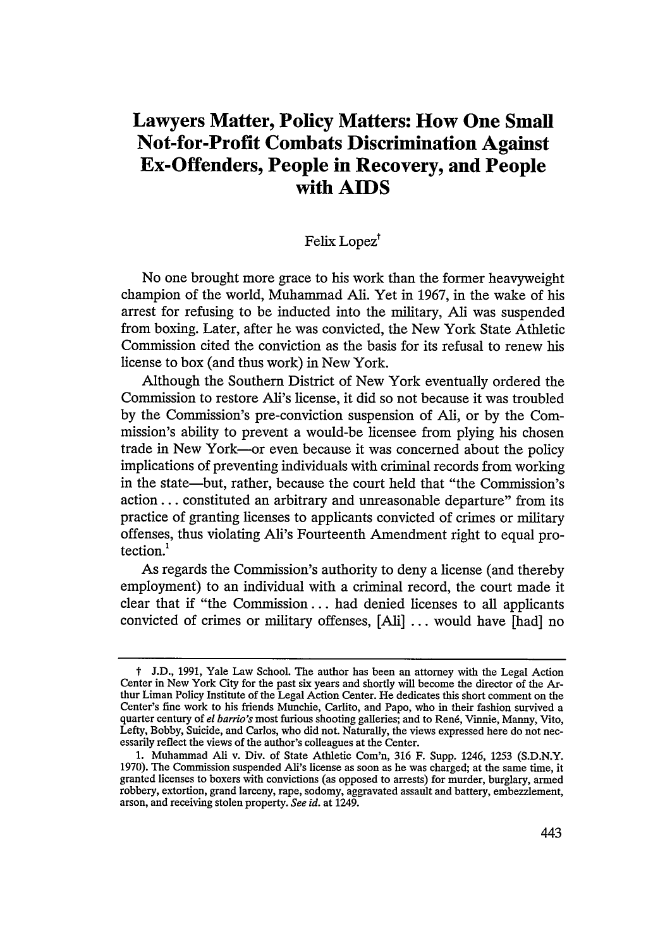# **Lawyers Matter, Policy Matters: How One Small Not-for-Profit Combats Discrimination Against Ex-Offenders, People in Recovery, and People with AIDS**

# Felix Lopez<sup>†</sup>

No one brought more grace to his work than the former heavyweight champion of the world, Muhammad **Ali.** Yet in 1967, in the wake of his arrest for refusing to be inducted into the military, Ali was suspended from boxing. Later, after he was convicted, the New York State Athletic Commission cited the conviction as the basis for its refusal to renew his license to box (and thus work) in New York.

Although the Southern District of New York eventually ordered the Commission to restore Ali's license, it did so not because it was troubled by the Commission's pre-conviction suspension of Ali, or by the Commission's ability to prevent a would-be licensee from plying his chosen trade in New York-or even because it was concerned about the policy implications of preventing individuals with criminal records from working in the state-but, rather, because the court held that "the Commission's action.., constituted an arbitrary and unreasonable departure" from its practice of granting licenses to applicants convicted of crimes or military offenses, thus violating Ali's Fourteenth Amendment right to equal protection.'

As regards the Commission's authority to deny a license (and thereby employment) to an individual with a criminal record, the court made it clear that if "the Commission... had denied licenses to all applicants convicted of crimes or military offenses, [Ali] ... would have [had] no

t J.D., 1991, Yale Law School. The author has been an attorney with the Legal Action Center in New York City for the past six years and shortly will become the director of the Arthur Liman Policy Institute of the Legal Action Center. He dedicates this short comment on the quarter century of el barrio's most furious shooting galleries; and to René, Vinnie, Manny, Vito, Lefty, Bobby, Suicide, and Carlos, who did not. Naturally, the views expressed here do not nec essarily reflect the views of the author's colleagues at the Center.

<sup>1.</sup> Muhammad Ali v. Div. of State Athletic Com'n, 316 F. Supp. 1246, 1253 (S.D.N.Y. 1970). The Commission suspended Ali's license as soon as he was charged; at the same time, it granted licenses to boxers with convictions (as opposed to arrests) for murder, burglary, armed robbery, extortion, grand larceny, rape, sodomy, aggravated assault and battery, embezzlement, arson, and receiving stolen property. *See id.* at 1249.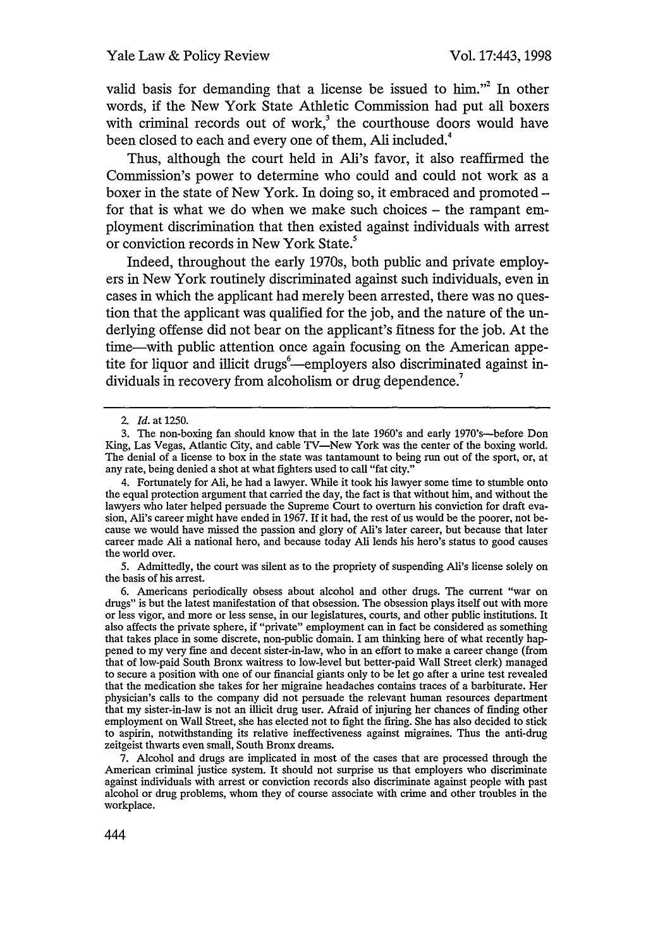valid basis for demanding that a license be issued to him."<sup>2</sup> In other words, if the New York State Athletic Commission had put all boxers with criminal records out of work,<sup>3</sup> the courthouse doors would have been closed to each and every one of them, Ali included.<sup>4</sup>

Thus, although the court held in Ali's favor, it also reaffirmed the Commission's power to determine who could and could not work as a boxer in the state of New York. In doing so, it embraced and promoted for that is what we do when we make such choices – the rampant employment discrimination that then existed against individuals with arrest or conviction records in New York State.<sup>5</sup>

Indeed, throughout the early 1970s, both public and private employers in New York routinely discriminated against such individuals, even in cases in which the applicant had merely been arrested, there was no question that the applicant was qualified for the job, and the nature of the underlying offense did not bear on the applicant's fitness for the job. At the time-with public attention once again focusing on the American appetite for liquor and illicit drugs<sup>6</sup>—employers also discriminated against individuals in recovery from alcoholism or drug dependence.<sup>7</sup>

5. Admittedly, the court was silent as to the propriety of suspending Ali's license solely on the basis of his arrest.

6. Americans periodically obsess about alcohol and other drugs. The current "war on drugs" is but the latest manifestation of that obsession. The obsession plays itself out with more or less vigor, and more or less sense, in our legislatures, courts, and other public institutions. It also affects the private sphere, if "private" employment can in fact be considered as something that takes place in some discrete, non-public domain. I am thinking here of what recently happened to my very fine and decent sister-in-law, who in an effort to make a career change (from that of low-paid South Bronx waitress to low-level but better-paid Wall Street clerk) managed to secure a position with one of our financial giants only to be let go after a urine test revealed that the medication she takes for her migraine headaches contains traces of a barbiturate. Her physician's calls to the company did not persuade the relevant human resources department that my sister-in-law is not an illicit drug user. Afraid of injuring her chances of finding other employment on Wall Street, she has elected not to fight the firing. She has also decided to stick to aspirin, notwithstanding its relative ineffectiveness against migraines. Thus the anti-drug zeitgeist thwarts even small, South Bronx dreams.

7. Alcohol and drugs are implicated in most of the cases that are processed through the American criminal justice system. It should not surprise us that employers who discriminate against individuals with arrest or conviction records also discriminate against people with past alcohol or drug problems, whom they of course associate with crime and other troubles in the workplace.

<sup>2.</sup> *Id.* at 1250.

<sup>3.</sup> The non-boxing fan should know that in the late 1960's and early 1970's-before Don King, Las Vegas, Atlantic City, and cable TV-New York was the center of the boxing world. The denial of a license to box in the state was tantamount to being run out of the sport, or, at any rate, being denied a shot at what fighters used to call "fat city."

<sup>4.</sup> Fortunately for Ali, he had a lawyer. While it took his lawyer some time to stumble onto the equal protection argument that carried the day, the fact is that without him, and without the lawyers who later helped persuade the Supreme Court to overturn his conviction for draft evasion, Ali's career might have ended in 1967. If it had, the rest of us would be the poorer, not because we would have missed the passion and glory of Ali's later career, but because that later career made All a national hero, and because today Ali lends his hero's status to good causes the world over.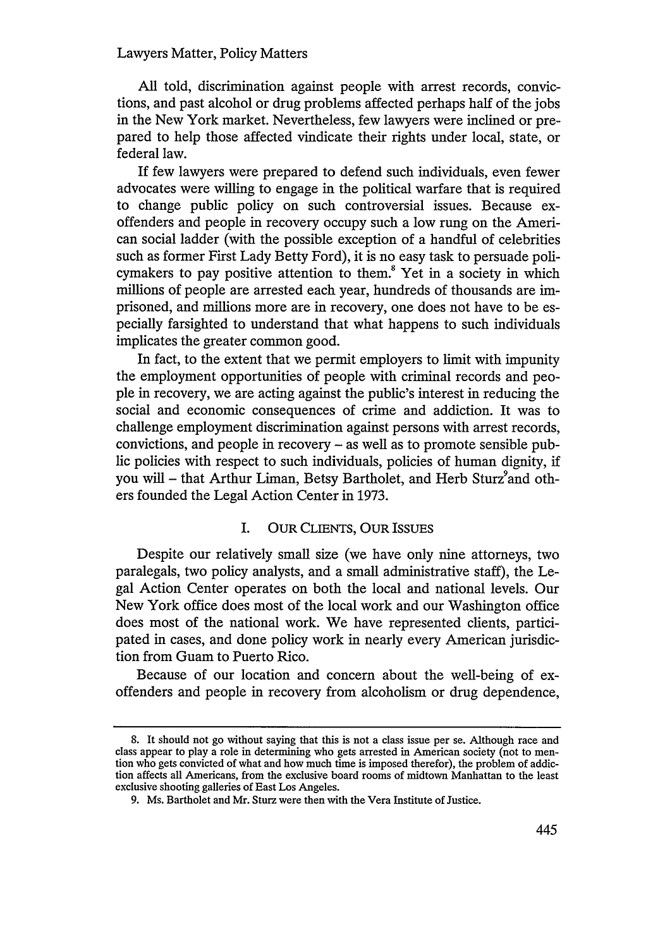All told, discrimination against people with arrest records, convictions, and past alcohol or drug problems affected perhaps half of the jobs in the New York market. Nevertheless, few lawyers were inclined or prepared to help those affected vindicate their rights under local, state, or federal law.

If few lawyers were prepared to defend such individuals, even fewer advocates were willing to engage in the political warfare that is required to change public policy on such controversial issues. Because exoffenders and people in recovery occupy such a low rung on the American social ladder (with the possible exception of a handful of celebrities such as former First Lady Betty Ford), it is no easy task to persuade policymakers to pay positive attention to them.8 Yet in a society in which millions of people are arrested each year, hundreds of thousands are imprisoned, and millions more are in recovery, one does not have to be especially farsighted to understand that what happens to such individuals implicates the greater common good.

In fact, to the extent that we permit employers to limit with impunity the employment opportunities of people with criminal records and people in recovery, we are acting against the public's interest in reducing the social and economic consequences of crime and addiction. It was to challenge employment discrimination against persons with arrest records, convictions, and people in recovery - as well as to promote sensible public policies with respect to such individuals, policies of human dignity, if you will  $-$  that Arthur Liman, Betsy Bartholet, and Herb Sturz<sup>9</sup>and others founded the Legal Action Center in 1973.

#### I. OUR CLIENTS, OUR ISSUES

Despite our relatively small size (we have only nine attorneys, two paralegals, two policy analysts, and a small administrative staff), the Legal Action Center operates on both the local and national levels. Our New York office does most of the local work and our Washington office does most of the national work. We have represented clients, participated in cases, and done policy work in nearly every American jurisdiction from Guam to Puerto Rico.

Because of our location and concern about the well-being of exoffenders and people in recovery from alcoholism or drug dependence,

<sup>8.</sup> It should not go without saying that this is not a class issue per se. Although race and class appear to play a role in determining who gets arrested in American society (not to men tion who gets convicted of what and how much time is imposed therefor), the problem of addiction affects all Americans, from the exclusive board rooms of midtown Manhattan to the least exclusive shooting galleries of East Los Angeles.

<sup>9.</sup> Ms. Bartholet and Mr. Sturz were then with the Vera Institute of Justice.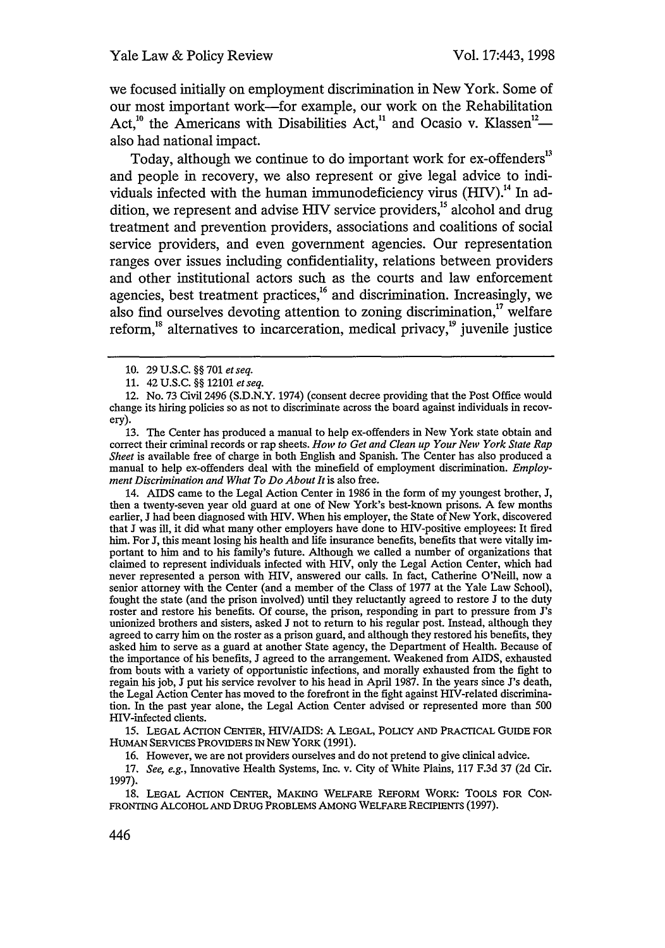we focused initially on employment discrimination in New York. Some of our most important work—for example, our work on the Rehabilitation Act,<sup>10</sup> the Americans with Disabilities Act,<sup>11</sup> and Ocasio v. Klassen<sup>12</sup> also had national impact.

Today, although we continue to do important work for ex-offenders<sup>13</sup> and people in recovery, we also represent or give legal advice to individuals infected with the human immunodeficiency virus (HIV).<sup>14</sup> In addition, we represent and advise HIV service providers,<sup>15</sup> alcohol and drug treatment and prevention providers, associations and coalitions of social service providers, and even government agencies. Our representation ranges over issues including confidentiality, relations between providers and other institutional actors such as the courts and law enforcement agencies, best treatment practices, $^{16}$  and discrimination. Increasingly, we also find ourselves devoting attention to zoning discrimination, $17$  welfare reform,<sup>18</sup> alternatives to incarceration, medical privacy,<sup>19</sup> juvenile justice

13. The Center has produced a manual to help ex-offenders in New York state obtain and correct their criminal records or rap sheets. *How to Get and Clean up Your New York State Rap Sheet* is available free of charge in both English and Spanish. The Center has also produced a manual to help ex-offenders deal with the minefield of employment discrimination. *Employment Discrimination and What To Do About It* is also free.

14. AIDS came to the Legal Action Center in 1986 in the form of my youngest brother, J, then a twenty-seven year old guard at one of New York's best-known prisons. A few months earlier, J had been diagnosed with HIV. When his employer, the State of New York, discovered that J was ill, it did what many other employers have done to HIV-positive employees: It fired him. For J, this meant losing his health and life insurance benefits, benefits that were vitally important to him and to his family's future. Although we called a number of organizations that claimed to represent individuals infected with HIV, only the Legal Action Center, which had never represented a person with HIV, answered our calls. In fact, Catherine O'Neill, now a senior attorney with the Center (and a member of the Class of 1977 at the Yale Law School), fought the state (and the prison involved) until they reluctantly agreed to restore J to the duty roster and restore his benefits. Of course, the prison, responding in part to pressure from J's unionized brothers and sisters, asked **J** not to return to his regular post. Instead, although they agreed to carry him on the roster as a prison guard, and although they restored his benefits, they asked him to serve as a guard at another State agency, the Department of Health. Because of the importance of his benefits, J agreed to the arrangement. Weakened from AIDS, exhausted from bouts with a variety of opportunistic infections, and morally exhausted from the fight to regain his job, J put his service revolver to his head in April 1987. In the years since J's death, the Legal Action Center has moved to the forefront in the fight against HIV-related discrimination. In the past year alone, the Legal Action Center advised or represented more than 500 HIV-infected clients.

15. LEGAL AcrION CENTER, HIV/AIDS: A LEGAL, POLICY **AND** PRACTICAL **GUIDE** FOR HUMAN **SERVICES** PROVIDERS IN NEW YORK (1991).

16. However, we are not providers ourselves and do not pretend to give clinical advice.

17. *See, e.g.,* Innovative Health Systems, Inc. v. City of White Plains, 117 F.3d 37 (2d Cir. 1997).

18. LEGAL ACTION CENTER, MAKING WELFARE REFORM WORK: TOOLS FOR **CON-**FRONTING ALCOHOL **AND DRUG** PROBLEMS AMONG WELFARE RECIPIENTS (1997).

**<sup>10. 29</sup> U.S.C.** §§ 701 *et seq.*

**<sup>11.</sup>** 42U.S.C. §§ 12101 *etseq.*

<sup>12.</sup> No. 73 Civil 2496 **(S.D.N.Y.** 1974) (consent decree providing that the Post Office would change its hiring policies so as not to discriminate across the board against individuals in recovery).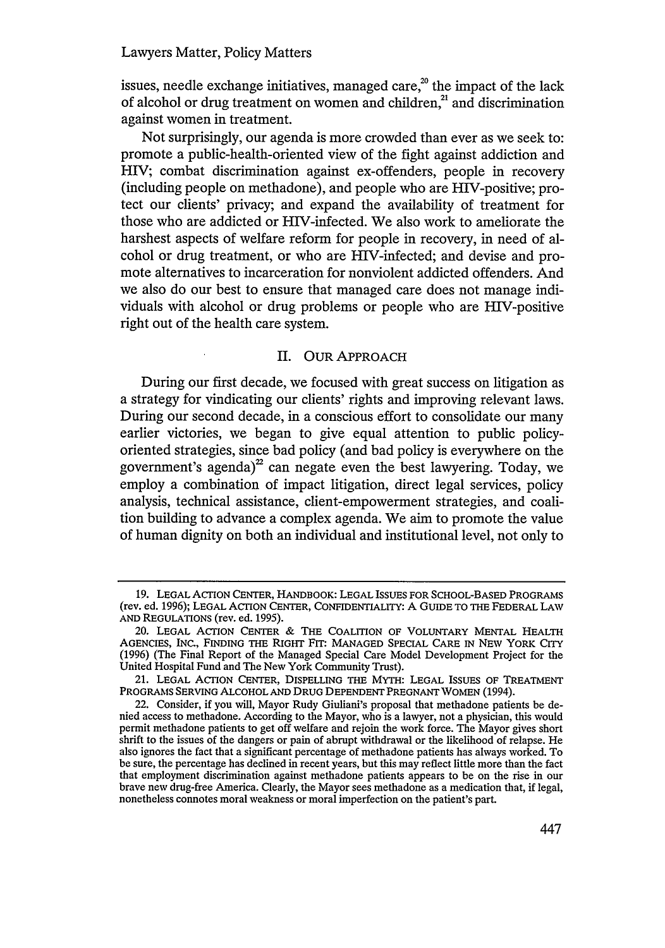issues, needle exchange initiatives, managed care, $2<sup>20</sup>$  the impact of the lack of alcohol or drug treatment on women and children.<sup>21</sup> and discrimination against women in treatment.

Not surprisingly, our agenda is more crowded than ever as we seek to: promote a public-health-oriented view of the fight against addiction and HIV; combat discrimination against ex-offenders, people in recovery (including people on methadone), and people who are HIV-positive; protect our clients' privacy; and expand the availability of treatment for those who are addicted or HIV-infected. We also work to ameliorate the harshest aspects of welfare reform for people in recovery, in need of alcohol or drug treatment, or who are HIV-infected; and devise and promote alternatives to incarceration for nonviolent addicted offenders. And we also do our best to ensure that managed care does not manage individuals with alcohol or drug problems or people who are HJV-positive right out of the health care system.

#### II. OUR APPROACH

During our first decade, we focused with great success on litigation as a strategy for vindicating our clients' rights and improving relevant laws. During our second decade, in a conscious effort to consolidate our many earlier victories, we began to give equal attention to public policyoriented strategies, since bad policy (and bad policy is everywhere on the government's agenda) $2^2$  can negate even the best lawyering. Today, we employ a combination of impact litigation, direct legal services, policy analysis, technical assistance, client-empowerment strategies, and coalition building to advance a complex agenda. We aim to promote the value of human dignity on both an individual and institutional level, not only to

<sup>19.</sup> LEGAL ACTION CENTER, HANDBOOK: LEGAL ISSUES FOR SCHOOL-BASED PROGRAMS (rev. ed. 1996); **LEGAL** ACTION CENTER, CONFIDENTIALITY: A GUIDE TO THE FEDERAL LAW AND REGULATIONS (rev. ed. 1995).

<sup>20.</sup> LEGAL ACTION CENTER & THE COALITION OF VOLUNTARY MENTAL HEALTH AGENCIES, INC., FINDING THE RIGHT FIT: MANAGED SPECIAL CARE IN NEW YORK CITY (1996) (The Final Report of the Managed Special Care Model Development Project for the United Hospital Fund and The New York Community Trust).

<sup>21.</sup> **LEGAL** ACTION CENTER, DISPELLING THE MYTH: LEGAL ISSUES OF TREATMENT PROGRAMS SERVING ALCOHOL AND DRUG DEPENDENT PREGNANT WOMEN (1994).

<sup>22.</sup> Consider, if you will, Mayor Rudy Giuliani's proposal that methadone patients be denied access to methadone. According to the Mayor, who is a lawyer, not a physician, this would permit methadone patients to get off welfare and rejoin the work force. The Mayor gives short shrift to the issues of the dangers or pain of abrupt withdrawal or the likelihood of relapse. He also ignores the fact that a significant percentage of methadone patients has always worked. To be sure, the percentage has declined in recent years, but this may reflect little more than the fact that employment discrimination against methadone patients appears to be on the rise in our brave new drug-free America. Clearly, the Mayor sees methadone as a medication that, if legal, nonetheless connotes moral weakness or moral imperfection on the patient's part.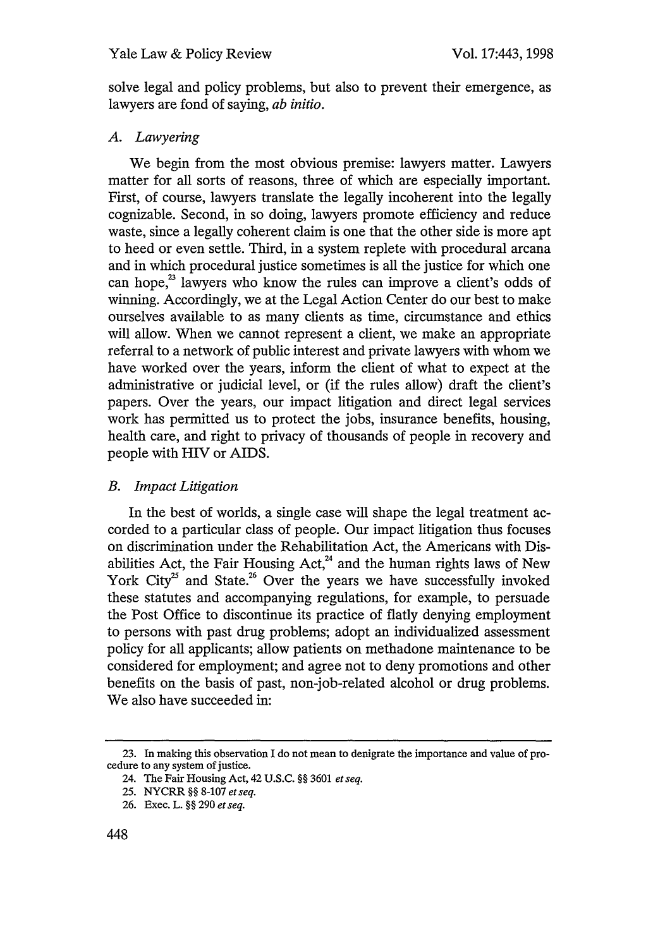solve legal and policy problems, but also to prevent their emergence, as lawyers are fond of saying, *ab initio.*

# *A. Lawyering*

We begin from the most obvious premise: lawyers matter. Lawyers matter for all sorts of reasons, three of which are especially important. First, of course, lawyers translate the legally incoherent into the legally cognizable. Second, in so doing, lawyers promote efficiency and reduce waste, since a legally coherent claim is one that the other side is more apt to heed or even settle. Third, in a system replete with procedural arcana and in which procedural justice sometimes is all the justice for which one can hope,<sup>23</sup> lawyers who know the rules can improve a client's odds of winning. Accordingly, we at the Legal Action Center do our best to make ourselves available to as many clients as time, circumstance and ethics will allow. When we cannot represent a client, we make an appropriate referral to a network of public interest and private lawyers with whom we have worked over the years, inform the client of what to expect at the administrative or judicial level, or (if the rules allow) draft the client's papers. Over the years, our impact litigation and direct legal services work has permitted us to protect the jobs, insurance benefits, housing, health care, and right to privacy of thousands of people in recovery and people with HIV or AIDS.

## *B. Impact Litigation*

In the best of worlds, a single case will shape the legal treatment accorded to a particular class of people. Our impact litigation thus focuses on discrimination under the Rehabilitation Act, the Americans with Disabilities Act, the Fair Housing Act, $^{24}$  and the human rights laws of New York City<sup>25</sup> and State.<sup>26</sup> Over the years we have successfully invoked these statutes and accompanying regulations, for example, to persuade the Post Office to discontinue its practice of flatly denying employment to persons with past drug problems; adopt an individualized assessment policy for all applicants; allow patients on methadone maintenance to be considered for employment; and agree not to deny promotions and other benefits on the basis of past, non-job-related alcohol or drug problems. We also have succeeded in:

**<sup>23.</sup>** In making this observation I do not mean to denigrate the importance and value of procedure to any system of justice.

<sup>24.</sup> **The** Fair Housing Act, 42 **U.S.C.** §§ **3601** *etseq.*

**<sup>25.</sup>** NYCRR §§ 8-107 *etseq.*

**<sup>26.</sup>** Exec. L. *§§290etseq.*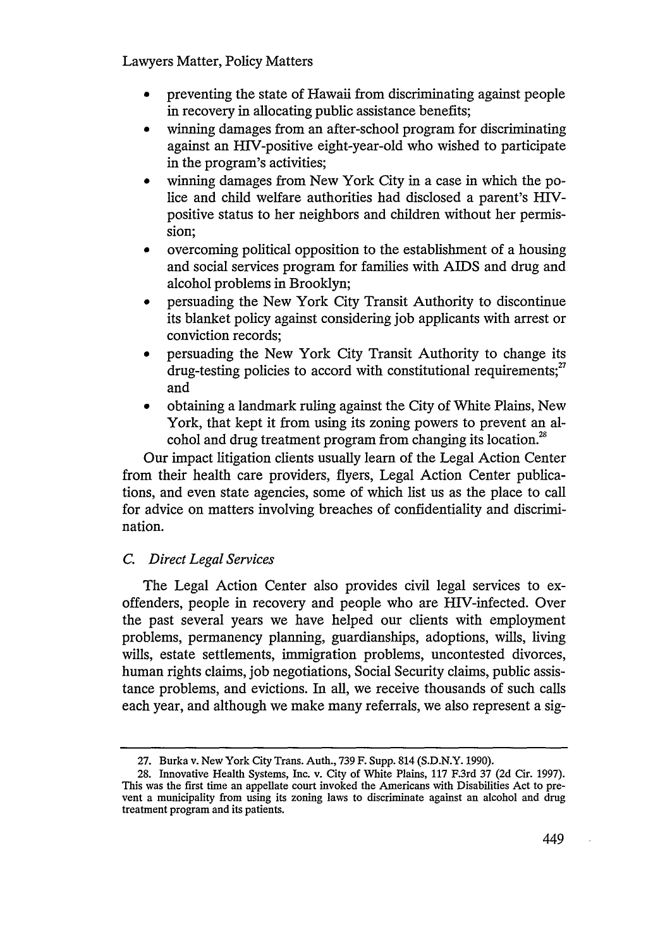- preventing the state of Hawaii from discriminating against people in recovery in allocating public assistance benefits;
- winning damages from an after-school program for discriminating against an HIV-positive eight-year-old who wished to participate in the program's activities;
- **"** winning damages from New York City in a case in which the police and child welfare authorities had disclosed a parent's HIVpositive status to her neighbors and children without her permission;
- overcoming political opposition to the establishment of a housing and social services program for families with AIDS and drug and alcohol problems in Brooklyn;
- persuading the New York City Transit Authority to discontinue its blanket policy against considering job applicants with arrest or conviction records;
- persuading the New York City Transit Authority to change its drug-testing policies to accord with constitutional requirements; $^{27}$ and
- obtaining a landmark ruling against the City of White Plains, New York, that kept it from using its zoning powers to prevent an alcohol and drug treatment program from changing its location.<sup>28</sup>

Our impact litigation clients usually learn of the Legal Action Center from their health care providers, flyers, Legal Action Center publications, and even state agencies, some of which list us as the place to call for advice on matters involving breaches of confidentiality and discrimination.

# *C. Direct Legal Services*

The Legal Action Center also provides civil legal services to exoffenders, people in recovery and people who are HIV-infected. Over the past several years we have helped our clients with employment problems, permanency planning, guardianships, adoptions, wills, living wills, estate settlements, immigration problems, uncontested divorces, human rights claims, job negotiations, Social Security claims, public assistance problems, and evictions. In all, we receive thousands of such calls each year, and although we make many referrals, we also represent a sig-

<sup>27.</sup> Burka v. New York City Trans. Auth., 739 F. Supp. 814 (S.D.N.Y. 1990).

<sup>28.</sup> Innovative Health Systems, Inc. v. City of White Plains, 117 F.3rd 37 (2d Cir. 1997). This was the first time an appellate court invoked the Americans with Disabilities Act to prevent a municipality from using its zoning laws to discriminate against an alcohol and drug treatment program and its patients.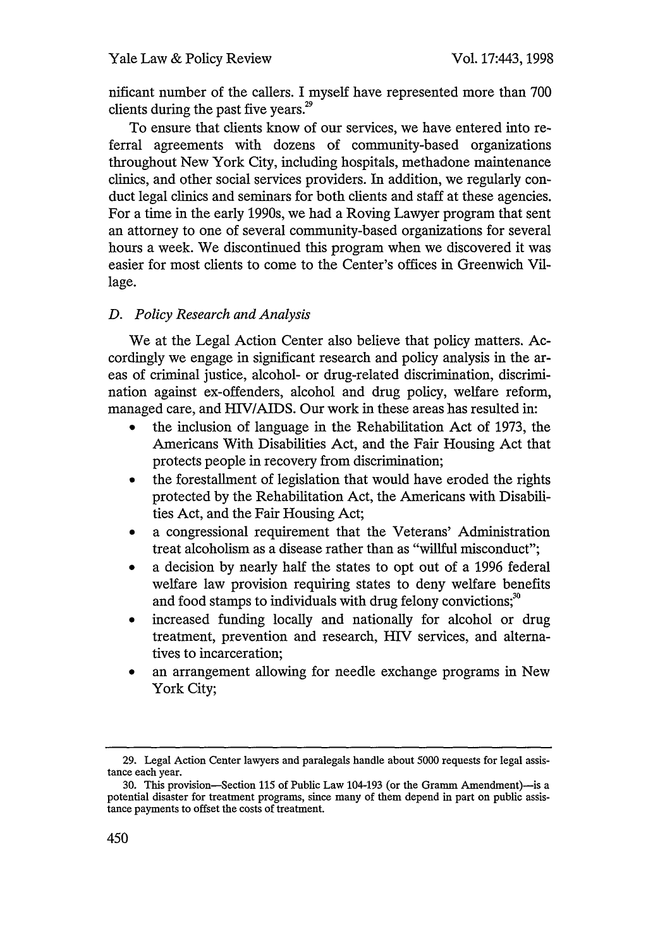#### Yale Law & Policy Review

nificant number of the callers. I myself have represented more than 700 clients during the past five years.<sup>29</sup>

To ensure that clients know of our services, we have entered into referral agreements with dozens of community-based organizations throughout New York City, including hospitals, methadone maintenance clinics, and other social services providers. In addition, we regularly conduct legal clinics and seminars for both clients and staff at these agencies. For a time in the early 1990s, we had a Roving Lawyer program that sent an attorney to one of several community-based organizations for several hours a week. We discontinued this program when we discovered it was easier for most clients to come to the Center's offices in Greenwich Village.

## *D. Policy Research and Analysis*

We at the Legal Action Center also believe that policy matters. Accordingly we engage in significant research and policy analysis in the areas of criminal justice, alcohol- or drug-related discrimination, discrimination against ex-offenders, alcohol and drug policy, welfare reform, managed care, and HIV/AIDS. Our work in these areas has resulted in:

- the inclusion of language in the Rehabilitation Act of 1973, the Americans With Disabilities Act, and the Fair Housing Act that protects people in recovery from discrimination;
- the forestallment of legislation that would have eroded the rights protected by the Rehabilitation Act, the Americans with Disabilities Act, and the Fair Housing Act;
- a congressional requirement that the Veterans' Administration treat alcoholism as a disease rather than as "willful misconduct";
- a decision by nearly half the states to opt out of a 1996 federal welfare law provision requiring states to deny welfare benefits and food stamps to individuals with drug felony convictions; $3<sup>30</sup>$
- increased funding locally and nationally for alcohol or drug treatment, prevention and research, HIV services, and alternatives to incarceration;
- an arrangement allowing for needle exchange programs in New York City;

<sup>29.</sup> Legal Action Center lawyers and paralegals handle about 5000 requests for legal assistance each year.

<sup>30.</sup> This provision-Section 115 of Public Law 104-193 (or the Gramm Amendment)-is a potential disaster for treatment programs, since many of them depend in part on public assistance payments to offset the costs of treatment.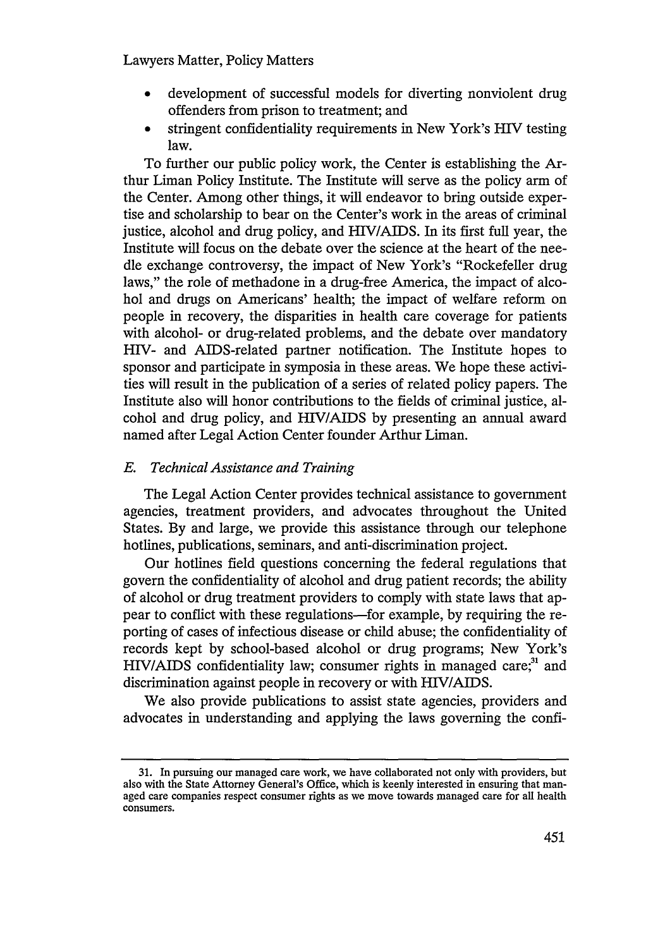- development of successful models for diverting nonviolent drug offenders from prison to treatment; and
- **"** stringent confidentiality requirements in New York's HIV testing law.

To further our public policy work, the Center is establishing the Arthur Liman Policy Institute. The Institute will serve as the policy arm of the Center. Among other things, it will endeavor to bring outside expertise and scholarship to bear on the Center's work in the areas of criminal justice, alcohol and drug policy, and HIV/AIDS. In its first full year, the Institute will focus on the debate over the science at the heart of the needle exchange controversy, the impact of New York's "Rockefeller drug laws," the role of methadone in a drug-free America, the impact of alcohol and drugs on Americans' health; the impact of welfare reform on people in recovery, the disparities in health care coverage for patients with alcohol- or drug-related problems, and the debate over mandatory HIV- and AIDS-related partner notification. The Institute hopes to sponsor and participate in symposia in these areas. We hope these activities will result in the publication of a series of related policy papers. The Institute also will honor contributions to the fields of criminal justice, alcohol and drug policy, and HIIV/AIDS by presenting an annual award named after Legal Action Center founder Arthur Liman.

### *E. Technical Assistance and Training*

The Legal Action Center provides technical assistance to government agencies, treatment providers, and advocates throughout the United States. By and large, we provide this assistance through our telephone hotlines, publications, seminars, and anti-discrimination project.

Our hotlines field questions concerning the federal regulations that govern the confidentiality of alcohol and drug patient records; the ability of alcohol or drug treatment providers to comply with state laws that appear to conflict with these regulations-for example, by requiring the reporting of cases of infectious disease or child abuse; the confidentiality of records kept by school-based alcohol or drug programs; New York's HIV/AIDS confidentiality law; consumer rights in managed care; $31$  and discrimination against people in recovery or with HIV/AIDS.

We also provide publications to assist state agencies, providers and advocates in understanding and applying the laws governing the confi-

**<sup>31.</sup>** In pursuing our managed care work, we have collaborated not only with providers, but also with the State Attorney General's Office, which is keenly interested in ensuring that managed care companies respect consumer rights as we move towards managed care for all health consumers.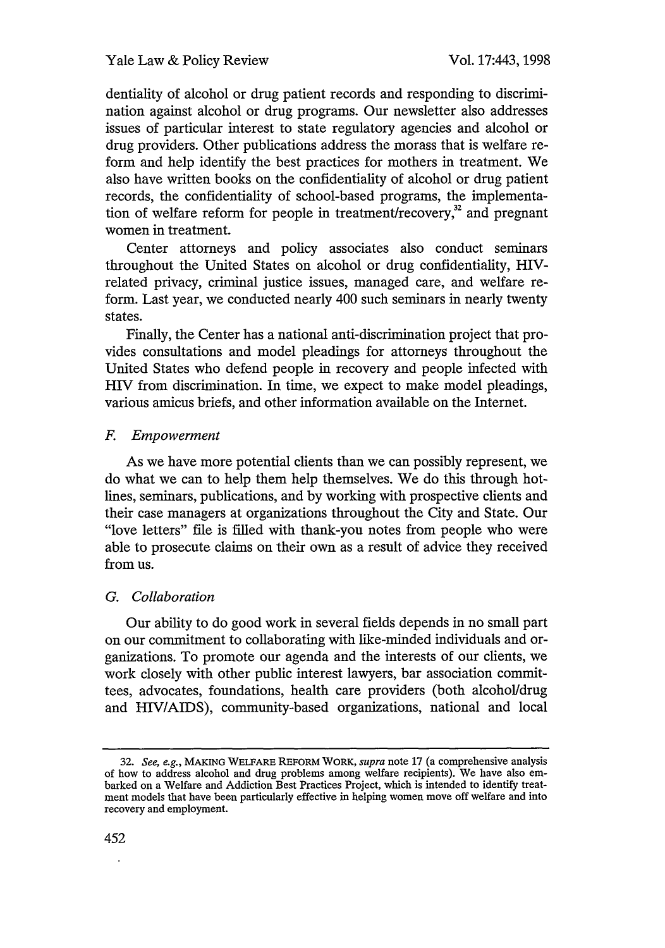dentiality of alcohol or drug patient records and responding to discrimination against alcohol or drug programs. Our newsletter also addresses issues of particular interest to state regulatory agencies and alcohol or drug providers. Other publications address the morass that is welfare reform and help identify the best practices for mothers in treatment. We also have written books on the confidentiality of alcohol or drug patient records, the confidentiality of school-based programs, the implementation of welfare reform for people in treatment/recovery,<sup>32</sup> and pregnant women in treatment.

Center attorneys and policy associates also conduct seminars throughout the United States on alcohol or drug confidentiality, HIVrelated privacy, criminal justice issues, managed care, and welfare reform. Last year, we conducted nearly 400 such seminars in nearly twenty states.

Finally, the Center has a national anti-discrimination project that provides consultations and model pleadings for attorneys throughout the United States who defend people in recovery and people infected with HIV from discrimination. In time, we expect to make model pleadings, various amicus briefs, and other information available on the Internet.

#### *F. Empowerment*

As we have more potential clients than we can possibly represent, we do what we can to help them help themselves. We do this through hotlines, seminars, publications, and by working with prospective clients and their case managers at organizations throughout the City and State. Our "love letters" file is filled with thank-you notes from people who were able to prosecute claims on their own as a result of advice they received from us.

#### *G. Collaboration*

Our ability to do good work in several fields depends in no small part on our commitment to collaborating with like-minded individuals and organizations. To promote our agenda and the interests of our clients, we work closely with other public interest lawyers, bar association committees, advocates, foundations, health care providers (both alcohol/drug and HIV/AIDS), community-based organizations, national and local

**<sup>32.</sup>** *See, e.g.,* MAKING WELFARE REFORM WoRK, *supra* note **17** (a comprehensive analysis of how to address alcohol and drug problems among welfare recipients). We have also embarked on a Welfare and Addiction Best Practices Project, which is intended to identify treatment models that have been particularly effective in helping women move off welfare and into recovery and employment.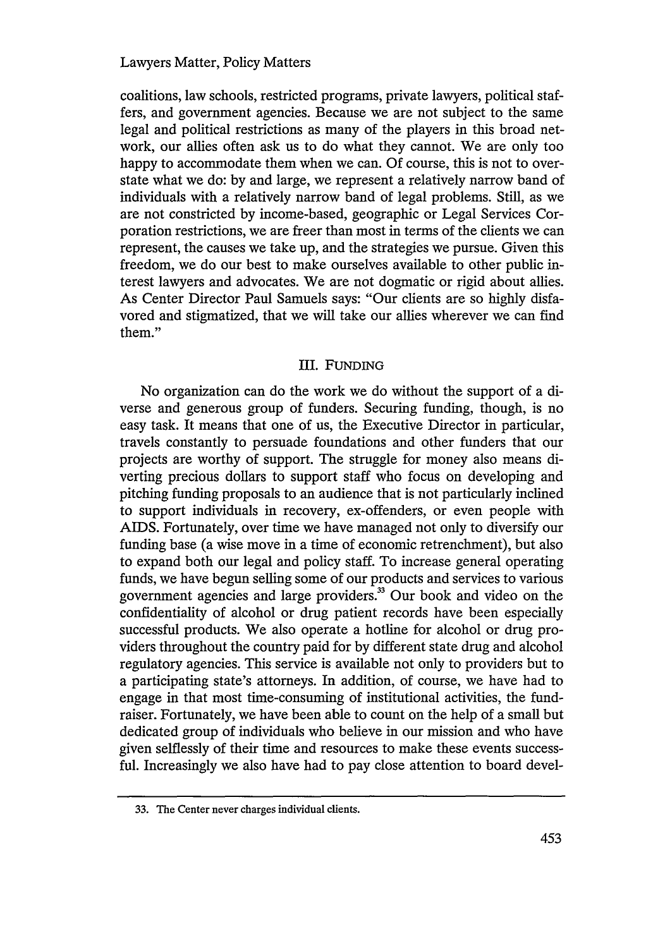coalitions, law schools, restricted programs, private lawyers, political staffers, and government agencies. Because we are not subject to the same legal and political restrictions as many of the players in this broad network, our allies often ask us to do what they cannot. We are only too happy to accommodate them when we can. Of course, this is not to overstate what we do: by and large, we represent a relatively narrow band of individuals with a relatively narrow band of legal problems. Still, as we are not constricted by income-based, geographic or Legal Services Corporation restrictions, we are freer than most in terms of the clients we can represent, the causes we take up, and the strategies we pursue. Given this freedom, we do our best to make ourselves available to other public interest lawyers and advocates. We are not dogmatic or rigid about allies. As Center Director Paul Samuels says: "Our clients are so highly disfavored and stigmatized, that we will take our allies wherever we can find them."

#### III. FUNDING

No organization can do the work we do without the support of a diverse and generous group of funders. Securing funding, though, is no easy task. It means that one of us, the Executive Director in particular, travels constantly to persuade foundations and other funders that our projects are worthy of support. The struggle for money also means diverting precious dollars to support staff who focus on developing and pitching funding proposals to an audience that is not particularly inclined to support individuals in recovery, ex-offenders, or even people with AIDS. Fortunately, over time we have managed not only to diversify our funding base (a wise move in a time of economic retrenchment), but also to expand both our legal and policy staff. To increase general operating funds, we have begun selling some of our products and services to various government agencies and large providers.3 Our book and video on the confidentiality of alcohol or drug patient records have been especially successful products. We also operate a hotline for alcohol or drug providers throughout the country paid for by different state drug and alcohol regulatory agencies. This service is available not only to providers but to a participating state's attorneys. In addition, of course, we have had to engage in that most time-consuming of institutional activities, the fundraiser. Fortunately, we have been able to count on the help of a small but dedicated group of individuals who believe in our mission and who have given selflessly of their time and resources to make these events successful. Increasingly we also have had to pay close attention to board devel-

**<sup>33.</sup>** The Center never charges individual clients.